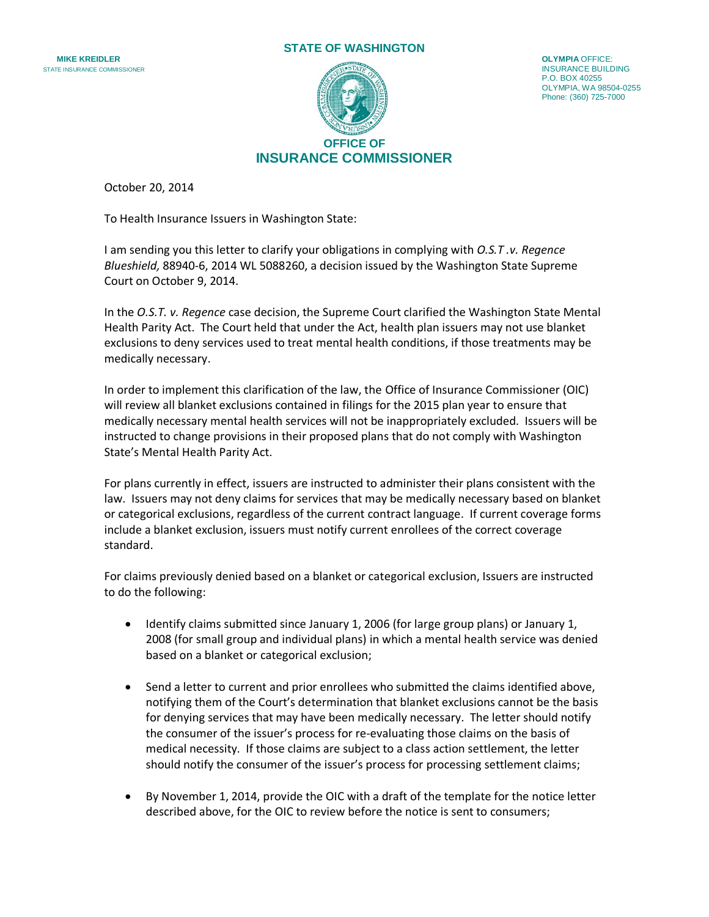## **STATE OF WASHINGTON**





P.O. BOX 40255 OLYMPIA, WA 98504-0255 Phone: (360) 725-7000

October 20, 2014

To Health Insurance Issuers in Washington State:

I am sending you this letter to clarify your obligations in complying with *O.S.T .v. Regence Blueshield,* 88940-6, 2014 WL 5088260, a decision issued by the Washington State Supreme Court on October 9, 2014.

In the *O.S.T. v. Regence* case decision, the Supreme Court clarified the Washington State Mental Health Parity Act. The Court held that under the Act, health plan issuers may not use blanket exclusions to deny services used to treat mental health conditions, if those treatments may be medically necessary.

In order to implement this clarification of the law, the Office of Insurance Commissioner (OIC) will review all blanket exclusions contained in filings for the 2015 plan year to ensure that medically necessary mental health services will not be inappropriately excluded. Issuers will be instructed to change provisions in their proposed plans that do not comply with Washington State's Mental Health Parity Act.

For plans currently in effect, issuers are instructed to administer their plans consistent with the law. Issuers may not deny claims for services that may be medically necessary based on blanket or categorical exclusions, regardless of the current contract language. If current coverage forms include a blanket exclusion, issuers must notify current enrollees of the correct coverage standard.

For claims previously denied based on a blanket or categorical exclusion, Issuers are instructed to do the following:

- Identify claims submitted since January 1, 2006 (for large group plans) or January 1, 2008 (for small group and individual plans) in which a mental health service was denied based on a blanket or categorical exclusion;
- Send a letter to current and prior enrollees who submitted the claims identified above, notifying them of the Court's determination that blanket exclusions cannot be the basis for denying services that may have been medically necessary. The letter should notify the consumer of the issuer's process for re-evaluating those claims on the basis of medical necessity. If those claims are subject to a class action settlement, the letter should notify the consumer of the issuer's process for processing settlement claims;
- By November 1, 2014, provide the OIC with a draft of the template for the notice letter described above, for the OIC to review before the notice is sent to consumers;